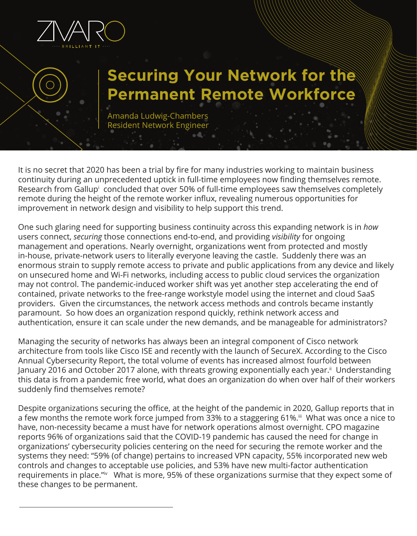

## **Securing Your Network for the Permanent Remote Workforce**

Amanda Ludwig-Chambers Resident Network Engineer

It is no secret that 2020 has been a trial by fire for many industries working to maintain business continuity during an unprecedented uptick in full-time employees now finding themselves remote. Research from Gallup<sup>i</sup> concluded that over 50% of full-time employees saw themselves completely remote during the height of the remote worker influx, revealing numerous opportunities for improvement in network design and visibility to help support this trend.

One such glaring need for supporting business continuity across this expanding network is in *how*  users connect, *securing* those connections end-to-end, and providing *visibility* for ongoing management and operations. Nearly overnight, organizations went from protected and mostly in-house, private-network users to literally everyone leaving the castle. Suddenly there was an enormous strain to supply remote access to private and public applications from any device and likely on unsecured home and Wi-Fi networks, including access to public cloud services the organization may not control. The pandemic-induced worker shift was yet another step accelerating the end of contained, private networks to the free-range workstyle model using the internet and cloud SaaS providers. Given the circumstances, the network access methods and controls became instantly paramount. So how does an organization respond quickly, rethink network access and authentication, ensure it can scale under the new demands, and be manageable for administrators?

Managing the security of networks has always been an integral component of Cisco network architecture from tools like Cisco ISE and recently with the launch of SecureX. According to the Cisco Annual Cybersecurity Report, the total volume of events has increased almost fourfold between January 2016 and October 2017 alone, with threats growing exponentially each year.<sup>ii</sup> Understanding this data is from a pandemic free world, what does an organization do when over half of their workers suddenly find themselves remote?

Despite organizations securing the office, at the height of the pandemic in 2020, Gallup reports that in a few months the remote work force jumped from 33% to a staggering 61%.<sup>iii</sup> What was once a nice to have, non-necessity became a must have for network operations almost overnight. CPO magazine reports 96% of organizations said that the COVID-19 pandemic has caused the need for change in organizations' cybersecurity policies centering on the need for securing the remote worker and the systems they need: "59% (of change) pertains to increased VPN capacity, 55% incorporated new web controls and changes to acceptable use policies, and 53% have new multi-factor authentication requirements in place."<sup>iv</sup> What is more, 95% of these organizations surmise that they expect some of these changes to be permanent.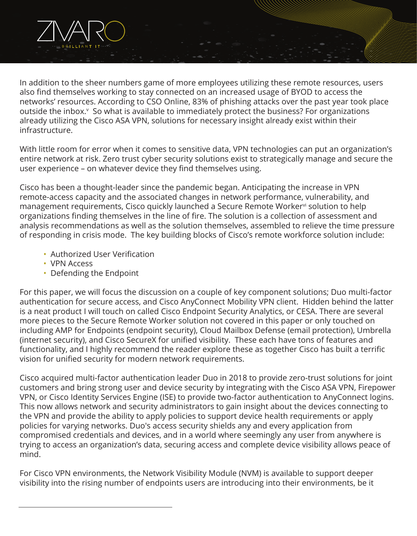

In addition to the sheer numbers game of more employees utilizing these remote resources, users also find themselves working to stay connected on an increased usage of BYOD to access the networks' resources. According to CSO Online, 83% of phishing attacks over the past year took place outside the inbox.<sup>v</sup> So what is available to immediately protect the business? For organizations already utilizing the Cisco ASA VPN, solutions for necessary insight already exist within their infrastructure.

With little room for error when it comes to sensitive data, VPN technologies can put an organization's entire network at risk. Zero trust cyber security solutions exist to strategically manage and secure the user experience – on whatever device they find themselves using.

Cisco has been a thought-leader since the pandemic began. Anticipating the increase in VPN remote-access capacity and the associated changes in network performance, vulnerability, and management requirements, Cisco quickly launched a Secure Remote Worker<sup>vi</sup> solution to help organizations finding themselves in the line of fire. The solution is a collection of assessment and analysis recommendations as well as the solution themselves, assembled to relieve the time pressure of responding in crisis mode. The key building blocks of Cisco's remote workforce solution include:

- Authorized User Verification
- VPN Access
- Defending the Endpoint

For this paper, we will focus the discussion on a couple of key component solutions; Duo multi-factor authentication for secure access, and Cisco AnyConnect Mobility VPN client. Hidden behind the latter is a neat product I will touch on called Cisco Endpoint Security Analytics, or CESA. There are several more pieces to the Secure Remote Worker solution not covered in this paper or only touched on including AMP for Endpoints (endpoint security), Cloud Mailbox Defense (email protection), Umbrella (internet security), and Cisco SecureX for unified visibility. These each have tons of features and functionality, and I highly recommend the reader explore these as together Cisco has built a terrific vision for unified security for modern network requirements.

Cisco acquired multi-factor authentication leader Duo in 2018 to provide zero-trust solutions for joint customers and bring strong user and device security by integrating with the Cisco ASA VPN, Firepower VPN, or Cisco Identity Services Engine (ISE) to provide two-factor authentication to AnyConnect logins. This now allows network and security administrators to gain insight about the devices connecting to the VPN and provide the ability to apply policies to support device health requirements or apply policies for varying networks. Duo's access security shields any and every application from compromised credentials and devices, and in a world where seemingly any user from anywhere is trying to access an organization's data, securing access and complete device visibility allows peace of mind.

For Cisco VPN environments, the Network Visibility Module (NVM) is available to support deeper visibility into the rising number of endpoints users are introducing into their environments, be it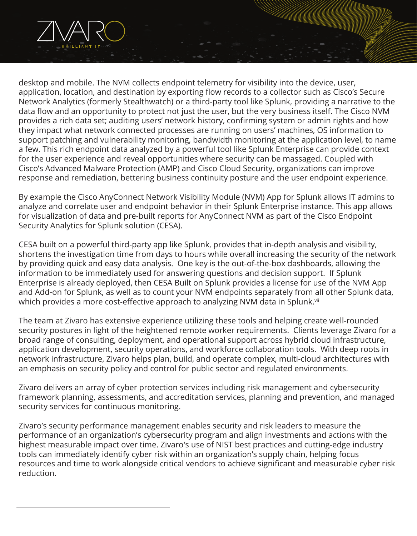

desktop and mobile. The NVM collects endpoint telemetry for visibility into the device, user, application, location, and destination by exporting flow records to a collector such as Cisco's Secure Network Analytics (formerly Stealthwatch) or a third-party tool like Splunk, providing a narrative to the data flow and an opportunity to protect not just the user, but the very business itself. The Cisco NVM provides a rich data set; auditing users' network history, confirming system or admin rights and how they impact what network connected processes are running on users' machines, OS information to support patching and vulnerability monitoring, bandwidth monitoring at the application level, to name a few. This rich endpoint data analyzed by a powerful tool like Splunk Enterprise can provide context for the user experience and reveal opportunities where security can be massaged. Coupled with Cisco's Advanced Malware Protection (AMP) and Cisco Cloud Security, organizations can improve response and remediation, bettering business continuity posture and the user endpoint experience.

By example the Cisco AnyConnect Network Visibility Module (NVM) App for Splunk allows IT admins to analyze and correlate user and endpoint behavior in their Splunk Enterprise instance. This app allows for visualization of data and pre-built reports for AnyConnect NVM as part of the Cisco Endpoint Security Analytics for Splunk solution (CESA).

CESA built on a powerful third-party app like Splunk, provides that in-depth analysis and visibility, shortens the investigation time from days to hours while overall increasing the security of the network by providing quick and easy data analysis. One key is the out-of-the-box dashboards, allowing the information to be immediately used for answering questions and decision support. If Splunk Enterprise is already deployed, then CESA Built on Splunk provides a license for use of the NVM App and Add-on for Splunk, as well as to count your NVM endpoints separately from all other Splunk data, which provides a more cost-effective approach to analyzing NVM data in Splunk.<sup>vii</sup>

The team at Zivaro has extensive experience utilizing these tools and helping create well-rounded security postures in light of the heightened remote worker requirements. Clients leverage Zivaro for a broad range of consulting, deployment, and operational support across hybrid cloud infrastructure, application development, security operations, and workforce collaboration tools. With deep roots in network infrastructure, Zivaro helps plan, build, and operate complex, multi-cloud architectures with an emphasis on security policy and control for public sector and regulated environments.

Zivaro delivers an array of cyber protection services including risk management and cybersecurity framework planning, assessments, and accreditation services, planning and prevention, and managed security services for continuous monitoring.

Zivaro's security performance management enables security and risk leaders to measure the performance of an organization's cybersecurity program and align investments and actions with the highest measurable impact over time. Zivaro's use of NIST best practices and cutting-edge industry tools can immediately identify cyber risk within an organization's supply chain, helping focus resources and time to work alongside critical vendors to achieve significant and measurable cyber risk reduction.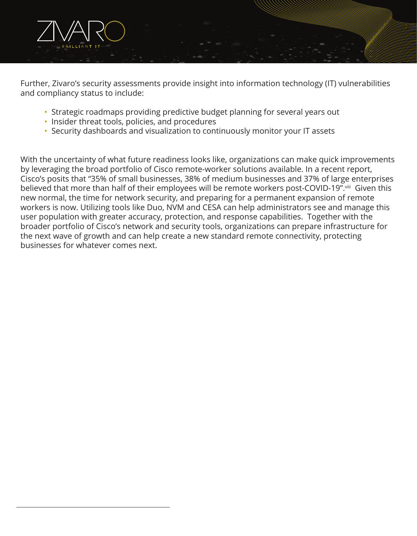

Further, Zivaro's security assessments provide insight into information technology (IT) vulnerabilities and compliancy status to include:

- Strategic roadmaps providing predictive budget planning for several years out
- Insider threat tools, policies, and procedures
- Security dashboards and visualization to continuously monitor your IT assets

With the uncertainty of what future readiness looks like, organizations can make quick improvements by leveraging the broad portfolio of Cisco remote-worker solutions available. In a recent report, Cisco's posits that "35% of small businesses, 38% of medium businesses and 37% of large enterprises believed that more than half of their employees will be remote workers post-COVID-19".viii Given this new normal, the time for network security, and preparing for a permanent expansion of remote workers is now. Utilizing tools like Duo, NVM and CESA can help administrators see and manage this user population with greater accuracy, protection, and response capabilities. Together with the broader portfolio of Cisco's network and security tools, organizations can prepare infrastructure for the next wave of growth and can help create a new standard remote connectivity, protecting businesses for whatever comes next.